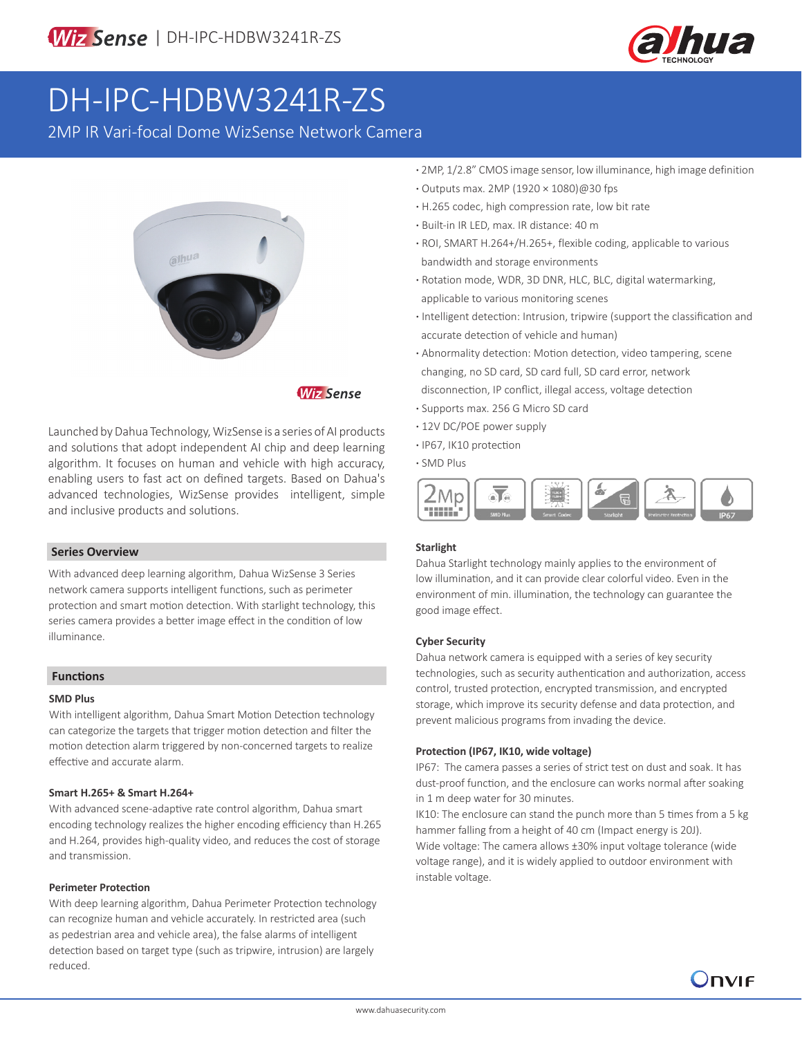

# DH-IPC-HDBW3241R-ZS

2MP IR Vari-focal Dome WizSense Network Camera



# **Wiz Sense**

Launched by Dahua Technology, WizSense is a series of AI products and solutions that adopt independent AI chip and deep learning algorithm. It focuses on human and vehicle with high accuracy, enabling users to fast act on defined targets. Based on Dahua's advanced technologies, WizSense provides intelligent, simple and inclusive products and solutions.

#### **Series Overview**

With advanced deep learning algorithm, Dahua WizSense 3 Series network camera supports intelligent functions, such as perimeter protection and smart motion detection. With starlight technology, this series camera provides a better image effect in the condition of low illuminance.

#### **Functions**

#### **SMD Plus**

With intelligent algorithm, Dahua Smart Motion Detection technology can categorize the targets that trigger motion detection and filter the motion detection alarm triggered by non-concerned targets to realize effective and accurate alarm.

#### **Smart H.265+ & Smart H.264+**

With advanced scene-adaptive rate control algorithm, Dahua smart encoding technology realizes the higher encoding efficiency than H.265 and H.264, provides high-quality video, and reduces the cost of storage and transmission.

#### **Perimeter Protection**

With deep learning algorithm, Dahua Perimeter Protection technology can recognize human and vehicle accurately. In restricted area (such as pedestrian area and vehicle area), the false alarms of intelligent detection based on target type (such as tripwire, intrusion) are largely reduced.

- **·** 2MP, 1/2.8" CMOS image sensor, low illuminance, high image definition
- **·** Outputs max. 2MP (1920 × 1080)@30 fps
- **·** H.265 codec, high compression rate, low bit rate
- **·** Built-in IR LED, max. IR distance: 40 m
- **·** ROI, SMART H.264+/H.265+, flexible coding, applicable to various bandwidth and storage environments
- **·** Rotation mode, WDR, 3D DNR, HLC, BLC, digital watermarking, applicable to various monitoring scenes
- **·** Intelligent detection: Intrusion, tripwire (support the classification and accurate detection of vehicle and human)
- **·** Abnormality detection: Motion detection, video tampering, scene changing, no SD card, SD card full, SD card error, network disconnection, IP conflict, illegal access, voltage detection
- **·** Supports max. 256 G Micro SD card
- **·** 12V DC/POE power supply
- **·** IP67, IK10 protection
- **·** SMD Plus



## **Starlight**

Dahua Starlight technology mainly applies to the environment of low illumination, and it can provide clear colorful video. Even in the environment of min. illumination, the technology can guarantee the good image effect.

#### **Cyber Security**

Dahua network camera is equipped with a series of key security technologies, such as security authentication and authorization, access control, trusted protection, encrypted transmission, and encrypted storage, which improve its security defense and data protection, and prevent malicious programs from invading the device.

#### **Protection (IP67, IK10, wide voltage)**

IP67: The camera passes a series of strict test on dust and soak. It has dust-proof function, and the enclosure can works normal after soaking in 1 m deep water for 30 minutes.

IK10: The enclosure can stand the punch more than 5 times from a 5 kg hammer falling from a height of 40 cm (Impact energy is 20J).

Wide voltage: The camera allows ±30% input voltage tolerance (wide voltage range), and it is widely applied to outdoor environment with instable voltage.

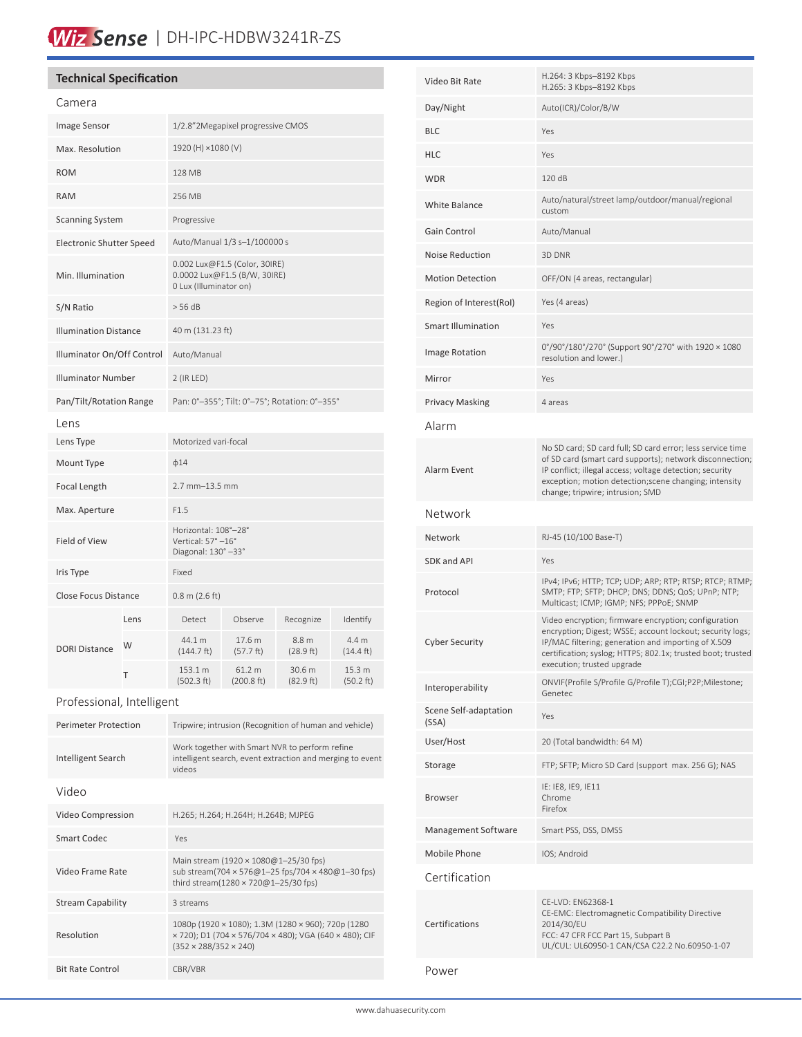# Wiz Sense | DH-IPC-HDBW3241R-ZS

# **Technical Specification**

| Image Sensor<br>1/2.8"2Megapixel progressive CMOS<br>Max. Resolution<br>1920 (H) ×1080 (V)<br><b>ROM</b><br>128 MB<br><b>RAM</b><br>256 MB<br><b>Scanning System</b><br>Progressive<br>Auto/Manual 1/3 s-1/100000 s<br><b>Electronic Shutter Speed</b><br>0.002 Lux@F1.5 (Color, 30IRE)<br>Min. Illumination<br>0.0002 Lux@F1.5 (B/W, 30IRE)<br>0 Lux (Illuminator on)<br>S/N Ratio<br>$>$ 56 dB<br><b>Illumination Distance</b><br>40 m (131.23 ft)<br>Illuminator On/Off Control<br>Auto/Manual | Camera |  |  |  |  |  |
|---------------------------------------------------------------------------------------------------------------------------------------------------------------------------------------------------------------------------------------------------------------------------------------------------------------------------------------------------------------------------------------------------------------------------------------------------------------------------------------------------|--------|--|--|--|--|--|
|                                                                                                                                                                                                                                                                                                                                                                                                                                                                                                   |        |  |  |  |  |  |
|                                                                                                                                                                                                                                                                                                                                                                                                                                                                                                   |        |  |  |  |  |  |
|                                                                                                                                                                                                                                                                                                                                                                                                                                                                                                   |        |  |  |  |  |  |
|                                                                                                                                                                                                                                                                                                                                                                                                                                                                                                   |        |  |  |  |  |  |
|                                                                                                                                                                                                                                                                                                                                                                                                                                                                                                   |        |  |  |  |  |  |
|                                                                                                                                                                                                                                                                                                                                                                                                                                                                                                   |        |  |  |  |  |  |
|                                                                                                                                                                                                                                                                                                                                                                                                                                                                                                   |        |  |  |  |  |  |
|                                                                                                                                                                                                                                                                                                                                                                                                                                                                                                   |        |  |  |  |  |  |
|                                                                                                                                                                                                                                                                                                                                                                                                                                                                                                   |        |  |  |  |  |  |
|                                                                                                                                                                                                                                                                                                                                                                                                                                                                                                   |        |  |  |  |  |  |
| <b>Illuminator Number</b><br>$2$ (IR LED)                                                                                                                                                                                                                                                                                                                                                                                                                                                         |        |  |  |  |  |  |
| Pan: 0°-355°; Tilt: 0°-75°; Rotation: 0°-355°<br>Pan/Tilt/Rotation Range                                                                                                                                                                                                                                                                                                                                                                                                                          |        |  |  |  |  |  |
| Lens                                                                                                                                                                                                                                                                                                                                                                                                                                                                                              |        |  |  |  |  |  |
| Motorized vari-focal<br>Lens Type                                                                                                                                                                                                                                                                                                                                                                                                                                                                 |        |  |  |  |  |  |
| Mount Type<br>$\phi$ 14                                                                                                                                                                                                                                                                                                                                                                                                                                                                           |        |  |  |  |  |  |
| Focal Length<br>$2.7$ mm $-13.5$ mm                                                                                                                                                                                                                                                                                                                                                                                                                                                               |        |  |  |  |  |  |
| Max. Aperture<br>F1.5                                                                                                                                                                                                                                                                                                                                                                                                                                                                             |        |  |  |  |  |  |
| Horizontal: 108°-28°<br>Vertical: 57° -16°<br>Field of View<br>Diagonal: 130° -33°                                                                                                                                                                                                                                                                                                                                                                                                                |        |  |  |  |  |  |
| Fixed<br>Iris Type                                                                                                                                                                                                                                                                                                                                                                                                                                                                                |        |  |  |  |  |  |
| <b>Close Focus Distance</b><br>$0.8$ m (2.6 ft)                                                                                                                                                                                                                                                                                                                                                                                                                                                   |        |  |  |  |  |  |
| Observe<br>Identify<br>Lens<br>Detect<br>Recognize                                                                                                                                                                                                                                                                                                                                                                                                                                                |        |  |  |  |  |  |
| 44.1 m<br>4.4 m<br>17.6 m<br>8.8 m<br>W<br><b>DORI Distance</b><br>(144.7 ft)<br>(57.7 ft)<br>(28.9 ft)<br>$(14.4 \text{ ft})$                                                                                                                                                                                                                                                                                                                                                                    |        |  |  |  |  |  |
| 153.1 m<br>61.2 m<br>30.6 m<br>15.3 m<br>T<br>(502.3 ft)<br>(200.8 ft)<br>(82.9 ft)<br>(50.2 ft)                                                                                                                                                                                                                                                                                                                                                                                                  |        |  |  |  |  |  |

# Professional, Intelligent

| <b>Perimeter Protection</b> | Tripwire; intrusion (Recognition of human and vehicle)                                                                                            |  |
|-----------------------------|---------------------------------------------------------------------------------------------------------------------------------------------------|--|
| Intelligent Search          | Work together with Smart NVR to perform refine<br>intelligent search, event extraction and merging to event<br>videos                             |  |
| Video                       |                                                                                                                                                   |  |
| Video Compression           | H.265; H.264; H.264H; H.264B; MJPEG                                                                                                               |  |
| <b>Smart Codec</b>          | Yes                                                                                                                                               |  |
| Video Frame Rate            | Main stream (1920 × 1080@1-25/30 fps)<br>sub stream(704 × 576@1-25 fps/704 × 480@1-30 fps)<br>third stream(1280 × 720@1-25/30 fps)                |  |
| <b>Stream Capability</b>    | 3 streams                                                                                                                                         |  |
| Resolution                  | 1080p (1920 × 1080); 1.3M (1280 × 960); 720p (1280<br>× 720); D1 (704 × 576/704 × 480); VGA (640 × 480); CIF<br>$(352 \times 288/352 \times 240)$ |  |
| <b>Bit Rate Control</b>     | CBR/VBR                                                                                                                                           |  |

| Video Bit Rate                 | H.264: 3 Kbps-8192 Kbps<br>H.265: 3 Kbps-8192 Kbps                                                                                                                                                                                                                               |  |
|--------------------------------|----------------------------------------------------------------------------------------------------------------------------------------------------------------------------------------------------------------------------------------------------------------------------------|--|
| Day/Night                      | Auto(ICR)/Color/B/W                                                                                                                                                                                                                                                              |  |
| <b>BLC</b>                     | Yes                                                                                                                                                                                                                                                                              |  |
| <b>HLC</b>                     | Yes                                                                                                                                                                                                                                                                              |  |
| <b>WDR</b>                     | 120 dB                                                                                                                                                                                                                                                                           |  |
| White Balance                  | Auto/natural/street lamp/outdoor/manual/regional<br>custom                                                                                                                                                                                                                       |  |
| Gain Control                   | Auto/Manual                                                                                                                                                                                                                                                                      |  |
| <b>Noise Reduction</b>         | 3D DNR                                                                                                                                                                                                                                                                           |  |
| <b>Motion Detection</b>        | OFF/ON (4 areas, rectangular)                                                                                                                                                                                                                                                    |  |
| Region of Interest(RoI)        | Yes (4 areas)                                                                                                                                                                                                                                                                    |  |
| <b>Smart Illumination</b>      | Yes                                                                                                                                                                                                                                                                              |  |
| Image Rotation                 | 0°/90°/180°/270° (Support 90°/270° with 1920 × 1080<br>resolution and lower.)                                                                                                                                                                                                    |  |
| Mirror                         | Yes                                                                                                                                                                                                                                                                              |  |
| <b>Privacy Masking</b>         | 4 areas                                                                                                                                                                                                                                                                          |  |
| Alarm                          |                                                                                                                                                                                                                                                                                  |  |
| Alarm Event                    | No SD card; SD card full; SD card error; less service time<br>of SD card (smart card supports); network disconnection;<br>IP conflict; illegal access; voltage detection; security<br>exception; motion detection; scene changing; intensity<br>change; tripwire; intrusion; SMD |  |
| Network                        |                                                                                                                                                                                                                                                                                  |  |
| Network                        | RJ-45 (10/100 Base-T)                                                                                                                                                                                                                                                            |  |
| SDK and API                    | Yes                                                                                                                                                                                                                                                                              |  |
| Protocol                       | IPv4; IPv6; HTTP; TCP; UDP; ARP; RTP; RTSP; RTCP; RTMP;<br>SMTP; FTP; SFTP; DHCP; DNS; DDNS; QoS; UPnP; NTP;<br>Multicast; ICMP; IGMP; NFS; PPPoE; SNMP                                                                                                                          |  |
| <b>Cyber Security</b>          | Video encryption; firmware encryption; configuration<br>encryption; Digest; WSSE; account lockout; security logs;<br>IP/MAC filtering; generation and importing of X.509<br>certification; syslog; HTTPS; 802.1x; trusted boot; trusted<br>execution; trusted upgrade            |  |
| Interoperability               | ONVIF(Profile S/Profile G/Profile T);CGI;P2P;Milestone;<br>Genetec                                                                                                                                                                                                               |  |
| Scene Self-adaptation<br>(SSA) | Yes                                                                                                                                                                                                                                                                              |  |
| User/Host                      | 20 (Total bandwidth: 64 M)                                                                                                                                                                                                                                                       |  |
| Storage                        | FTP; SFTP; Micro SD Card (support max. 256 G); NAS                                                                                                                                                                                                                               |  |
| <b>Browser</b>                 | IE: IE8, IE9, IE11<br>Chrome<br>Firefox                                                                                                                                                                                                                                          |  |
| Management Software            | Smart PSS, DSS, DMSS                                                                                                                                                                                                                                                             |  |
| Mobile Phone                   | IOS; Android                                                                                                                                                                                                                                                                     |  |
| Certification                  |                                                                                                                                                                                                                                                                                  |  |
| Certifications                 | CE-LVD: EN62368-1<br>CE-EMC: Electromagnetic Compatibility Directive<br>2014/30/EU<br>FCC: 47 CFR FCC Part 15, Subpart B<br>UL/CUL: UL60950-1 CAN/CSA C22.2 No.60950-1-07                                                                                                        |  |
| Power                          |                                                                                                                                                                                                                                                                                  |  |